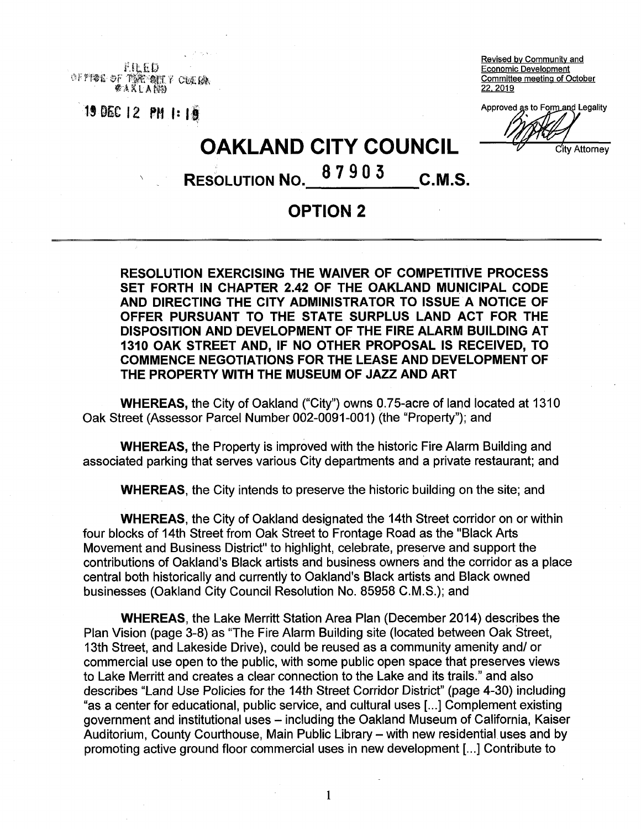FILED OF FIDE OF *s* AXLABO **22. 2019** 

Revised bv Community and Economic Development 『強性・動作』? C技術の数値の - Committee meeting of October<br>A K L A NA

**Approved as to Form and Legality** Approved as to Form and Legality IS **DEC** 12 **PM** I: IS

City Attornev

**OAKLAND CITY COUNCIL**

**87903** RESOLUTION NO. 87905 C.M.S.

## **OPTION 2**

**RESOLUTION EXERCISING THE WAIVER OF COMPETITIVE PROCESS SET FORTH IN CHAPTER 2.42 OF THE OAKLAND MUNICIPAL CODE AND DIRECTING THE CITY ADMINISTRATOR TO ISSUE A NOTICE OF OFFER PURSUANT TO THE STATE SURPLUS LAND ACT FOR THE DISPOSITION AND DEVELOPMENT OF THE FIRE ALARM BUILDING AT 1310 OAK STREET AND, IF NO OTHER PROPOSAL IS RECEIVED, TO COMMENCE NEGOTIATIONS FOR THE LEASE AND DEVELOPMENT OF THE PROPERTY WITH THE MUSEUM OF JAZZ AND ART**

**WHEREAS,** the City of Oakland ("City") owns 0.75-acre of land located at 1310 Oak Street (Assessor Parcel Number 002-0091-001) (the "Property"); and

**WHEREAS,** the Property is improved with the historic Fire Alarm Building and associated parking that serves various City departments and a private restaurant; and

**WHEREAS,** the City intends to preserve the historic building on the site; and

**WHEREAS,** the City of Oakland designated the 14th Street corridor on or within four blocks of 14th Street from Oak Street to Frontage Road as the "Black Arts Movement and Business District" to highlight, celebrate, preserve and support the contributions of Oakland's Black artists and business owners and the corridor as a place central both historically and currently to Oakland's Black artists and Black owned businesses (Oakland City Council Resolution No. 85958 C.M.S.); and

**WHEREAS,** the Lake Merritt Station Area Plan (December 2014) describes the Plan Vision (page 3-8) as "The Fire Alarm Building site (located between Oak Street, 13th Street, and Lakeside Drive), could be reused as a community amenity and/ or commercial use open to the public, with some public open space that preserves views to Lake Merritt and creates a clear connection to the Lake and its trails." and also describes "Land Use Policies for the 14th Street Corridor District" (page 4-30) including "as a center for educational, public service, and cultural uses [...] Complement existing government and institutional uses – including the Oakland Museum of California, Kaiser Auditorium, County Courthouse, Main Public Library – with new residential uses and by promoting active ground floor commercial uses in new development [...] Contribute to

1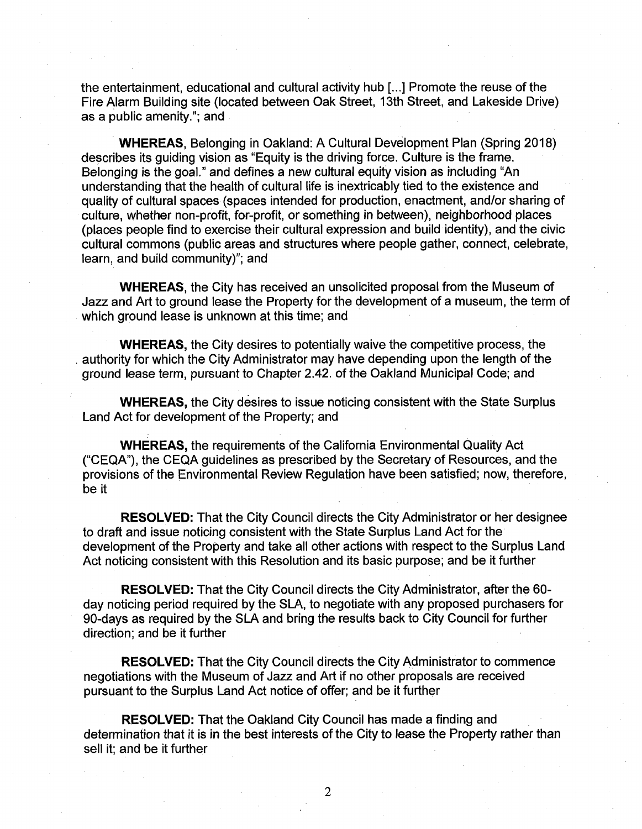the entertainment, educational and cultural activity hub [...] Promote the reuse of the Fire Alarm Building site (located between Oak Street, 13th Street, and Lakeside Drive) as a public amenity."; and

**WHEREAS,** Belonging in Oakland: A Cultural Development Plan (Spring 2018) describes its guiding vision as "Equity is the driving force. Culture is the frame. Belonging is the goal." and defines a new cultural equity vision as including "An understanding that the health of cultural life is inextricably tied to the existence and quality of cultural spaces (spaces intended for production, enactment, and/or sharing of culture, whether non-profit, for-profit, or something in between), neighborhood places (places people find to exercise their cultural expression and build identity), and the civic cultural commons (public areas and structures where people gather, connect, celebrate, learn, and build community)"; and

**WHEREAS,** the City has received an unsolicited proposal from the Museum of Jazz and Art to ground lease the Property for the development of a museum, the term of which ground lease is unknown at this time; and

**WHEREAS,** the City desires to potentially waive the competitive process, the . authority for which the City Administrator may have depending upon the length of the ground lease term, pursuant to Chapter 2.42. of the Oakland Municipal Code; and

**WHEREAS,** the City desires to issue noticing consistent with the State Surplus Land Act for development of the Property; and

**WHEREAS,** the requirements of the California Environmental Quality Act ("CEQA"), the CEQA guidelines as prescribed by the Secretary of Resources, and the provisions of the Environmental Review Regulation have been satisfied; now, therefore be it

**RESOLVED:** That the City Council directs the City Administrator or her designee to draft and issue noticing consistent with the State Surplus Land Act for the development of the Property and take all other actions with respect to the Surplus Land Act noticing consistent with this Resolution and its basic purpose; and be it further

**RESOLVED:** That the City Council directs the City Administrator, after the 60 day noticing period required by the SLA, to negotiate with any proposed purchasers for 90-days as required by the SLA and bring the results back to City Council for further direction; and be it further

**RESOLVED:** That the City Council directs the City Administrator to commence negotiations with the Museum of Jazz and Art if no other proposals are received pursuant to the Surplus Land Act notice of offer; and be it further

**RESOLVED:** That the Oakland City Council has made a finding and determination that it is in the best interests of the City to lease the Property rather than sell it; and be it further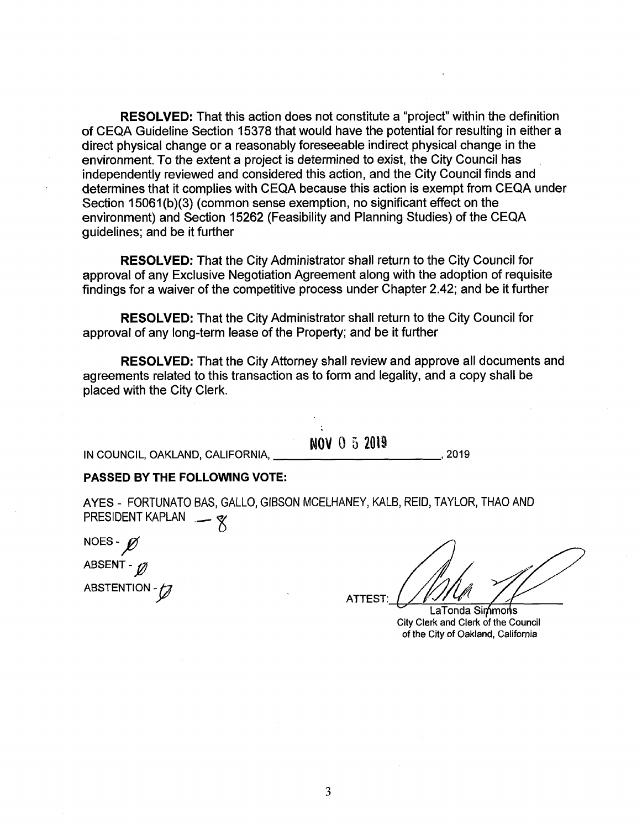**RESOLVED:** That this action does not constitute a "project" within the definition of CEQA Guideline Section 15378 that would have the potential for resulting in either a direct physical change or a reasonably foreseeable indirect physical change in the environment. To the extent a project is determined to exist, the City Council has independently reviewed and considered this action, and the City Council finds and determines that it complies with CEQA because this action is exempt from CEQA under Section 15061(b)(3) (common sense exemption, no significant effect on the environment) and Section 15262 (Feasibility and Planning Studies) of the CEQA guidelines; and be it further

**RESOLVED:** That the City Administrator shall return to the City Council for approval of any Exclusive Negotiation Agreement along with the adoption of requisite findings for a waiver of the competitive process under Chapter 2.42; and be it further

**RESOLVED:** That the City Administrator shall return to the City Council for approval of any long-term lease of the Property; and be it further

**RESOLVED:** That the City Attorney shall review and approve all documents and agreements related to this transaction as to form and legality, and a copy shall be placed with the City Clerk.

### **NOV 0 5 2019**

IN COUNCIL, OAKLAND, CALIFORNIA, , 2019

### **PASSED BY THE FOLLOWING VOTE:**

AYES - FORTUNATO BAS, GALLO, GIBSON MCELHANEY, KALB, REID, TAYLOR, THAO AND PRESIDENT KAPLAN - **8** 

NOES - *p*<br>
ABSENT - *p*<br>
ABSTENTION NOES-ABSTENTION - 0

ATTEST:

LaTonda Simmons City Clerk and Clerk of the Council of the City of Oakland, California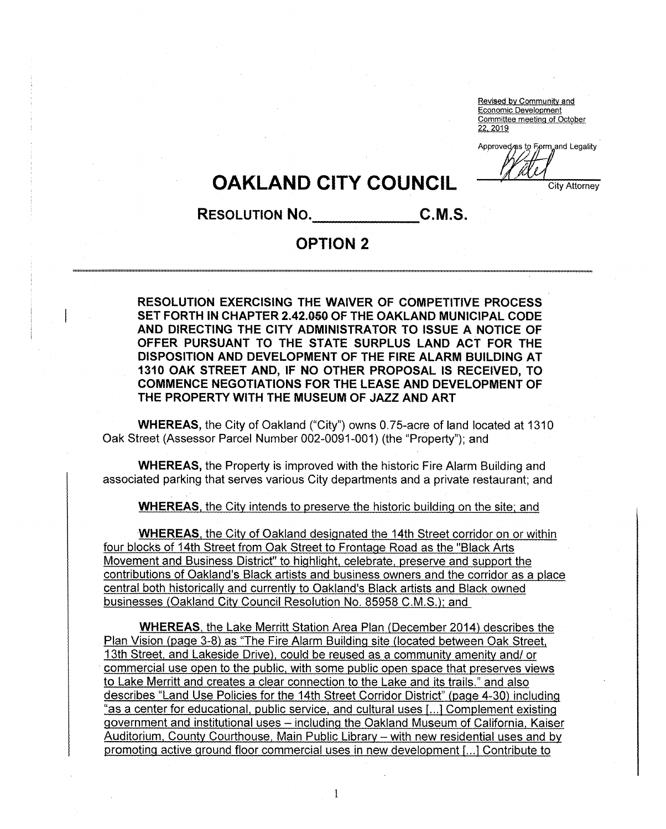Revised by Community and<br>Economic Development Economic Development Committee meeting of October 22. 2019

Approved/as to Eprm and Legality

# **OAKLAND CITY COUNCIL** CITCHERRY COUNCIL

## **Resolution No. C.M.S.**

# **OPTION 2**

**RESOLUTION EXERCISING THE WAIVER OF COMPETITIVE PROCESS SET FORTH IN CHAPTER 2.42.050 OF THE OAKLAND MUNICIPAL CODE AND DIRECTING THE CITY ADMINISTRATOR TO ISSUE A NOTICE OF OFFER PURSUANT TO THE STATE SURPLUS LAND ACT FOR THE DISPOSITION AND DEVELOPMENT OF THE FIRE ALARM BUILDING AT 1310 OAK STREET AND, IF NO OTHER PROPOSAL IS RECEIVED, TO COMMENCE NEGOTIATIONS FOR THE LEASE AND DEVELOPMENT OF THE PROPERTY WITH THE MUSEUM OF JAZZ AND ART**

**WHEREAS,** the City of Oakland ("City") owns 0.75-acre of land located at 1310 Oak Street (Assessor Parcel Number 002-0091-001) (the "Property"); and

**WHEREAS,** the Property is improved with the historic Fire Alarm Building and associated parking that serves various City departments and a private restaurant; and

**WHEREAS,** the City intends to preserve the historic building on the site; and

**WHEREAS,** the City of Oakland designated the 14th Street corridor on or within four blocks of 14th Street from Oak Street to Frontage Road as the "Black Arts Movement and Business District" to highlight, celebrate, preserve and support the contributions of Oakland's Black artists and business owners and the corridor as a place central both historically and currently to Oakland's Black artists and Black owned businesses (Oakland City Council Resolution No. 85958 C.M.S.); and

**WHEREAS,** the Lake Merritt Station Area Plan (December 2014) describes the Plan Vision (page 3-8) as "The Fire Alarm Building site (located between Oak Street, 13th Street, and Lakeside Drive), could be reused as a community amenity and/ or commercial use open to the public, with some public open space that preserves views to Lake Merritt and creates a clear connection to the Lake and its trails." and also describes "Land Use Policies for the 14th Street Corridor District" (page 4-30) including "as a center for educational, public service, and cultural uses f...1 Complement existing government and institutional uses – including the Oakland Museum of California, Kaiser Auditorium, County Courthouse, Main Public Library - with new residential uses and by promoting active ground floor commercial uses in new development [...] Contribute to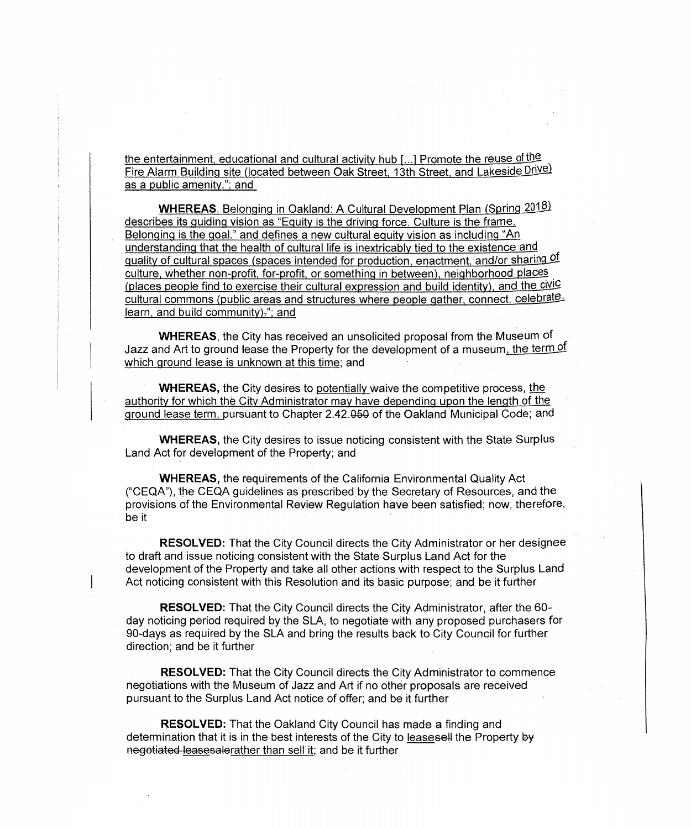the entertainment, educational and cultural activity hub [...] Promote the reuse of the Fire Alarm Building site (located between Oak Street, 13th Street, and Lakeside Drive) as a public amenity."; and

WHEREAS, Belonging in Oakland: A Cultural Development Plan (Spring 2018) describes its guiding vision as "Equity is the driving force. Culture is the frame. Belonging is the goal." and defines a new cultural equity vision as including "An understanding that the health of cultural life is inextricably tied to the existence and quality of cultural spaces (spaces intended for production, enactment, and/or sharing of culture, whether non-profit, for-profit, or something in between), neighborhood places (places people find to exercise their cultural expression and build identity), and the civic cultural commons (public areas and structures where people gather, connect, celebrate. learn, and build community) $x$ ; and

**WHEREAS,** the City has received an unsolicited proposal from the Museum of Jazz and Art to ground lease the Property for the development of a museum, the term of which ground lease is unknown at this time; and

**WHEREAS,** the City desires to potentially waive the competitive process, the authority for which the City Administrator may have depending upon the length of the ground lease term, pursuant to Chapter 2.42.0§Q of the Oakland Municipal Code; and

**WHEREAS,** the City desires to issue noticing consistent with the State Surplus Land Act for development of the Property; and

**WHEREAS,** the requirements of the California Environmental Quality Act ("CEQA"), the CEQA guidelines as prescribed by the Secretary of Resources, and the provisions of the Environmental Review Regulation have been satisfied; now, therefore, be it

**RESOLVED:** That the City Council directs the City Administrator or her designee to draft and issue noticing consistent with the State Surplus Land Act for the development of the Property and take all other actions with respect to the Surplus Land Act noticing consistent with this Resolution and its basic purpose; and be it further

**RESOLVED:** That the City Council directs the City Administrator, after the 60 day noticing period required by the SLA, to negotiate with any proposed purchasers for 90-days as required by the SLA and bring the results back to City Council for further direction; and be it further

**RESOLVED:** That the City Council directs the City Administrator to commence negotiations with the Museum of Jazz and Art if no other proposals are received pursuant to the Surplus Land Act notice of offer; and be it further

**RESOLVED:** That the Oakland City Council has made a finding and determination that it is in the best interests of the City to leasesell the Property by negotiated leasesalerather than sell it; and be it further